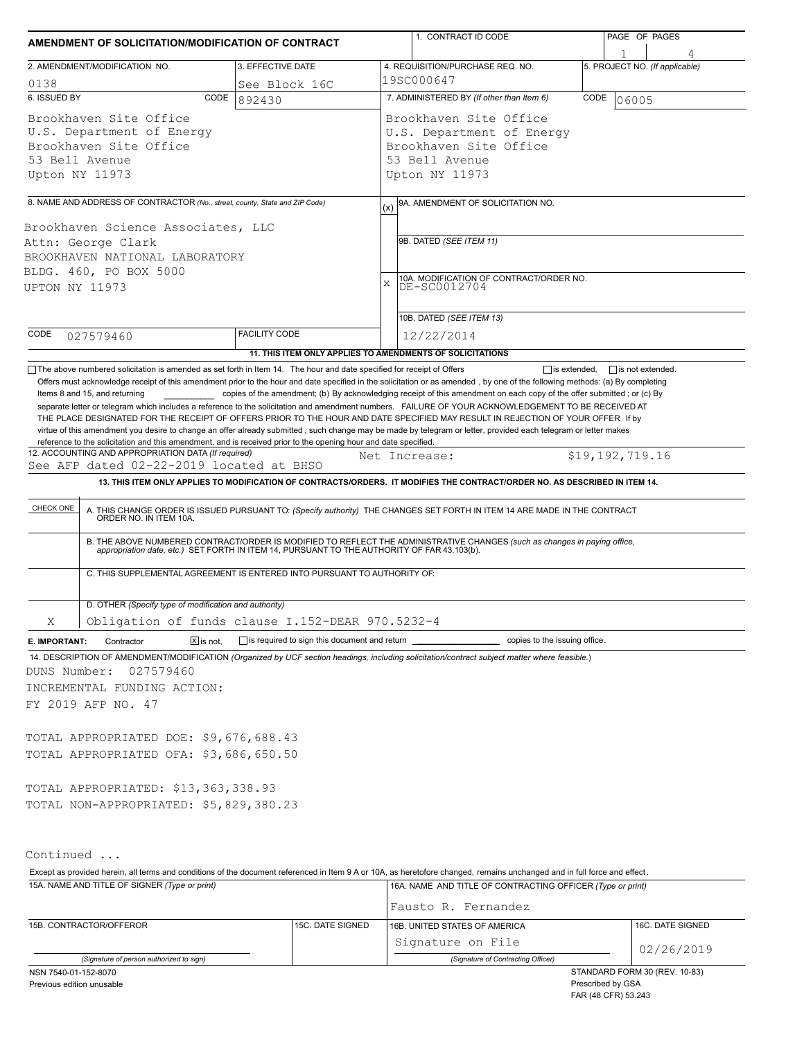| AMENDMENT OF SOLICITATION/MODIFICATION OF CONTRACT                                                                                                                                                                                  |                      |                                              |                                                         | 1. CONTRACT ID CODE                                                                                                                                                                                                                                                                                                                                                       | PAGE OF PAGES                  |                  |  |  |
|-------------------------------------------------------------------------------------------------------------------------------------------------------------------------------------------------------------------------------------|----------------------|----------------------------------------------|---------------------------------------------------------|---------------------------------------------------------------------------------------------------------------------------------------------------------------------------------------------------------------------------------------------------------------------------------------------------------------------------------------------------------------------------|--------------------------------|------------------|--|--|
|                                                                                                                                                                                                                                     |                      |                                              |                                                         |                                                                                                                                                                                                                                                                                                                                                                           |                                |                  |  |  |
| 2. AMENDMENT/MODIFICATION NO.<br>3. EFFECTIVE DATE                                                                                                                                                                                  |                      |                                              |                                                         | 4. REQUISITION/PURCHASE REQ. NO.                                                                                                                                                                                                                                                                                                                                          | 5. PROJECT NO. (If applicable) |                  |  |  |
| 0138                                                                                                                                                                                                                                | See Block 16C        |                                              | 19SC000647                                              |                                                                                                                                                                                                                                                                                                                                                                           |                                |                  |  |  |
| 6. ISSUED BY<br>CODE                                                                                                                                                                                                                | 892430               |                                              |                                                         | 7. ADMINISTERED BY (If other than Item 6)                                                                                                                                                                                                                                                                                                                                 | CODE                           | 06005            |  |  |
| Brookhaven Site Office<br>U.S. Department of Energy<br>Brookhaven Site Office<br>53 Bell Avenue<br>Upton NY 11973                                                                                                                   |                      |                                              |                                                         | Brookhaven Site Office<br>U.S. Department of Energy<br>Brookhaven Site Office<br>53 Bell Avenue<br>Upton NY 11973                                                                                                                                                                                                                                                         |                                |                  |  |  |
| 8. NAME AND ADDRESS OF CONTRACTOR (No., street, county, State and ZIP Code)                                                                                                                                                         |                      |                                              |                                                         | 9A. AMENDMENT OF SOLICITATION NO.                                                                                                                                                                                                                                                                                                                                         |                                |                  |  |  |
| Brookhaven Science Associates, LLC<br>Attn: George Clark                                                                                                                                                                            |                      |                                              | (x)                                                     | 9B. DATED (SEE ITEM 11)                                                                                                                                                                                                                                                                                                                                                   |                                |                  |  |  |
| BROOKHAVEN NATIONAL LABORATORY<br>BLDG. 460, PO BOX 5000<br>UPTON NY 11973                                                                                                                                                          |                      | X                                            | 10A. MODIFICATION OF CONTRACT/ORDER NO.<br>DE-SC0012704 |                                                                                                                                                                                                                                                                                                                                                                           |                                |                  |  |  |
|                                                                                                                                                                                                                                     |                      |                                              |                                                         | 10B. DATED (SEE ITEM 13)                                                                                                                                                                                                                                                                                                                                                  |                                |                  |  |  |
| CODE<br>027579460                                                                                                                                                                                                                   | <b>FACILITY CODE</b> |                                              |                                                         | 12/22/2014                                                                                                                                                                                                                                                                                                                                                                |                                |                  |  |  |
|                                                                                                                                                                                                                                     |                      |                                              |                                                         | 11. THIS ITEM ONLY APPLIES TO AMENDMENTS OF SOLICITATIONS                                                                                                                                                                                                                                                                                                                 |                                |                  |  |  |
| CHECK ONE                                                                                                                                                                                                                           |                      |                                              |                                                         | A. THIS CHANGE ORDER IS ISSUED PURSUANT TO: (Specify authority) THE CHANGES SET FORTH IN ITEM 14 ARE MADE IN THE CONTRACT ORDER NO. IN ITEM 10A.<br>B. THE ABOVE NUMBERED CONTRACT/ORDER IS MODIFIED TO REFLECT THE ADMINISTRATIVE CHANGES (such as changes in paying office, appropriation date, etc.) SET FORTH IN ITEM 14, PURSUANT TO THE AUTHORITY OF FAR 43.103(b). |                                |                  |  |  |
| C. THIS SUPPLEMENTAL AGREEMENT IS ENTERED INTO PURSUANT TO AUTHORITY OF:                                                                                                                                                            |                      |                                              |                                                         |                                                                                                                                                                                                                                                                                                                                                                           |                                |                  |  |  |
| D. OTHER (Specify type of modification and authority)                                                                                                                                                                               |                      |                                              |                                                         |                                                                                                                                                                                                                                                                                                                                                                           |                                |                  |  |  |
| Obligation of funds clause I.152-DEAR 970.5232-4<br>Χ                                                                                                                                                                               |                      |                                              |                                                         |                                                                                                                                                                                                                                                                                                                                                                           |                                |                  |  |  |
| Contractor<br>$\overline{X}$ is not.<br>E. IMPORTANT:<br>14. DESCRIPTION OF AMENDMENT/MODIFICATION (Organized by UCF section headings, including solicitation/contract subject matter where feasible.)<br>027579460<br>DUNS Number: |                      | is required to sign this document and return |                                                         | copies to the issuing office.                                                                                                                                                                                                                                                                                                                                             |                                |                  |  |  |
| INCREMENTAL FUNDING ACTION:                                                                                                                                                                                                         |                      |                                              |                                                         |                                                                                                                                                                                                                                                                                                                                                                           |                                |                  |  |  |
| FY 2019 AFP NO. 47                                                                                                                                                                                                                  |                      |                                              |                                                         |                                                                                                                                                                                                                                                                                                                                                                           |                                |                  |  |  |
| TOTAL APPROPRIATED DOE: \$9,676,688.43<br>TOTAL APPROPRIATED OFA: \$3,686,650.50                                                                                                                                                    |                      |                                              |                                                         |                                                                                                                                                                                                                                                                                                                                                                           |                                |                  |  |  |
| TOTAL APPROPRIATED: \$13,363,338.93<br>TOTAL NON-APPROPRIATED: \$5,829,380.23                                                                                                                                                       |                      |                                              |                                                         |                                                                                                                                                                                                                                                                                                                                                                           |                                |                  |  |  |
| Continued                                                                                                                                                                                                                           |                      |                                              |                                                         |                                                                                                                                                                                                                                                                                                                                                                           |                                |                  |  |  |
| Except as provided herein, all terms and conditions of the document referenced in Item 9 A or 10A, as heretofore changed, remains unchanged and in full force and effect.<br>15A. NAME AND TITLE OF SIGNER (Type or print)          |                      |                                              |                                                         | 16A. NAME AND TITLE OF CONTRACTING OFFICER (Type or print)                                                                                                                                                                                                                                                                                                                |                                |                  |  |  |
| 15B. CONTRACTOR/OFFEROR                                                                                                                                                                                                             |                      | 15C. DATE SIGNED                             |                                                         | Fausto R. Fernandez<br>16B. UNITED STATES OF AMERICA                                                                                                                                                                                                                                                                                                                      |                                | 16C. DATE SIGNED |  |  |
|                                                                                                                                                                                                                                     |                      |                                              |                                                         | Signature on File                                                                                                                                                                                                                                                                                                                                                         |                                | 02/26/2019       |  |  |
| (Signature of person authorized to sign)                                                                                                                                                                                            |                      |                                              |                                                         | (Signature of Contracting Officer)                                                                                                                                                                                                                                                                                                                                        |                                |                  |  |  |

NSN 7540-01-152-8070

Previous edition unusable

STANDARD FORM 30 (REV. 10-83) Prescribed by GSA FAR (48 CFR) 53.243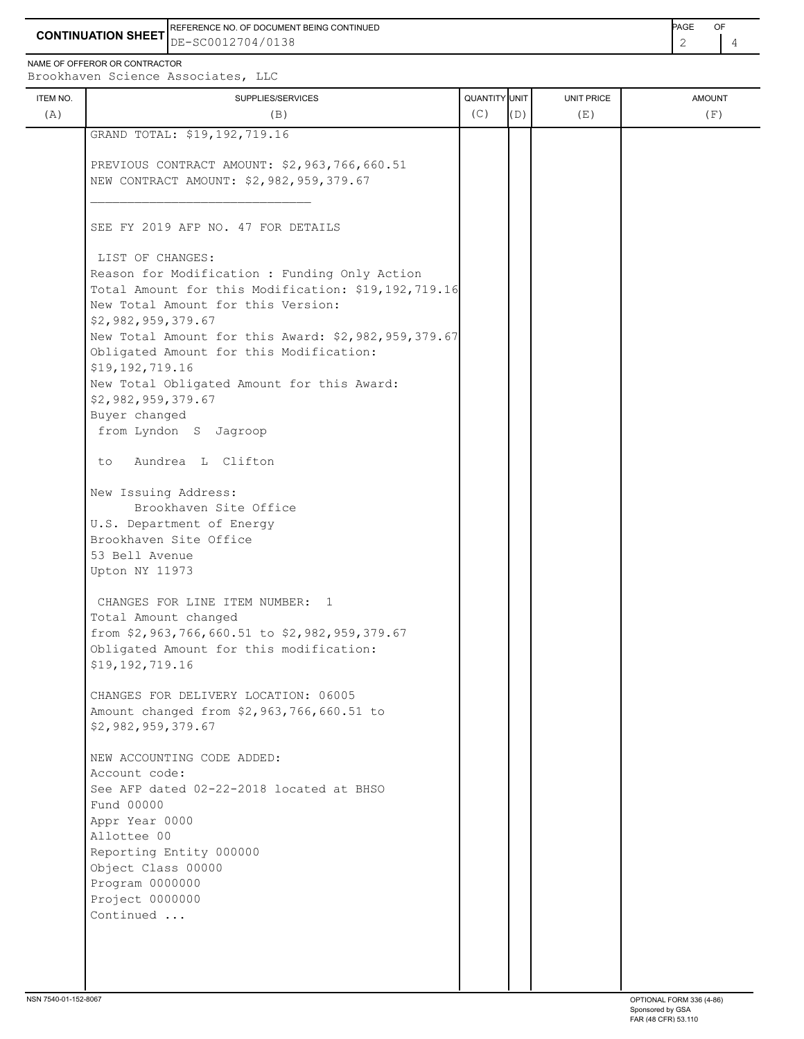**CONTINUATION SHEET** DE-SC0012704/0138 REFERENCE NO. OF DOCUMENT BEING CONTINUED **Example 2008** PAGE OF

NAME OF OFFEROR OR CONTRACTOR

Brookhaven Science Associates, LLC

| ITEM NO.<br>(A) | SUPPLIES/SERVICES<br>(B)                                                                                                                   | QUANTITY UNIT<br>(C) | (D) | <b>UNIT PRICE</b><br>(E) | <b>AMOUNT</b><br>(F) |
|-----------------|--------------------------------------------------------------------------------------------------------------------------------------------|----------------------|-----|--------------------------|----------------------|
|                 | GRAND TOTAL: \$19,192,719.16                                                                                                               |                      |     |                          |                      |
|                 | PREVIOUS CONTRACT AMOUNT: \$2,963,766,660.51                                                                                               |                      |     |                          |                      |
|                 | NEW CONTRACT AMOUNT: \$2,982,959,379.67                                                                                                    |                      |     |                          |                      |
|                 | SEE FY 2019 AFP NO. 47 FOR DETAILS                                                                                                         |                      |     |                          |                      |
|                 | LIST OF CHANGES:                                                                                                                           |                      |     |                          |                      |
|                 | Reason for Modification : Funding Only Action<br>Total Amount for this Modification: \$19,192,719.16<br>New Total Amount for this Version: |                      |     |                          |                      |
|                 | \$2,982,959,379.67                                                                                                                         |                      |     |                          |                      |
|                 | New Total Amount for this Award: \$2,982,959,379.67<br>Obligated Amount for this Modification:<br>\$19,192,719.16                          |                      |     |                          |                      |
|                 | New Total Obligated Amount for this Award:<br>\$2,982,959,379.67                                                                           |                      |     |                          |                      |
|                 | Buyer changed                                                                                                                              |                      |     |                          |                      |
|                 | from Lyndon S Jagroop                                                                                                                      |                      |     |                          |                      |
|                 | Aundrea L Clifton<br>to.                                                                                                                   |                      |     |                          |                      |
|                 | New Issuing Address:                                                                                                                       |                      |     |                          |                      |
|                 | Brookhaven Site Office                                                                                                                     |                      |     |                          |                      |
|                 | U.S. Department of Energy<br>Brookhaven Site Office                                                                                        |                      |     |                          |                      |
|                 | 53 Bell Avenue                                                                                                                             |                      |     |                          |                      |
|                 | Upton NY 11973                                                                                                                             |                      |     |                          |                      |
|                 |                                                                                                                                            |                      |     |                          |                      |
|                 | CHANGES FOR LINE ITEM NUMBER: 1<br>Total Amount changed                                                                                    |                      |     |                          |                      |
|                 | from \$2,963,766,660.51 to \$2,982,959,379.67                                                                                              |                      |     |                          |                      |
|                 | Obligated Amount for this modification:                                                                                                    |                      |     |                          |                      |
|                 | \$19,192,719.16                                                                                                                            |                      |     |                          |                      |
|                 | CHANGES FOR DELIVERY LOCATION: 06005                                                                                                       |                      |     |                          |                      |
|                 | Amount changed from \$2,963,766,660.51 to                                                                                                  |                      |     |                          |                      |
|                 | \$2,982,959,379.67                                                                                                                         |                      |     |                          |                      |
|                 | NEW ACCOUNTING CODE ADDED:                                                                                                                 |                      |     |                          |                      |
|                 | Account code:                                                                                                                              |                      |     |                          |                      |
|                 | See AFP dated 02-22-2018 located at BHSO<br>Fund 00000                                                                                     |                      |     |                          |                      |
|                 | Appr Year 0000                                                                                                                             |                      |     |                          |                      |
|                 | Allottee 00                                                                                                                                |                      |     |                          |                      |
|                 | Reporting Entity 000000                                                                                                                    |                      |     |                          |                      |
|                 | Object Class 00000                                                                                                                         |                      |     |                          |                      |
|                 | Program 0000000                                                                                                                            |                      |     |                          |                      |
|                 | Project 0000000                                                                                                                            |                      |     |                          |                      |
|                 | Continued                                                                                                                                  |                      |     |                          |                      |
|                 |                                                                                                                                            |                      |     |                          |                      |
|                 |                                                                                                                                            |                      |     |                          |                      |
|                 |                                                                                                                                            |                      |     |                          |                      |
|                 |                                                                                                                                            |                      |     |                          |                      |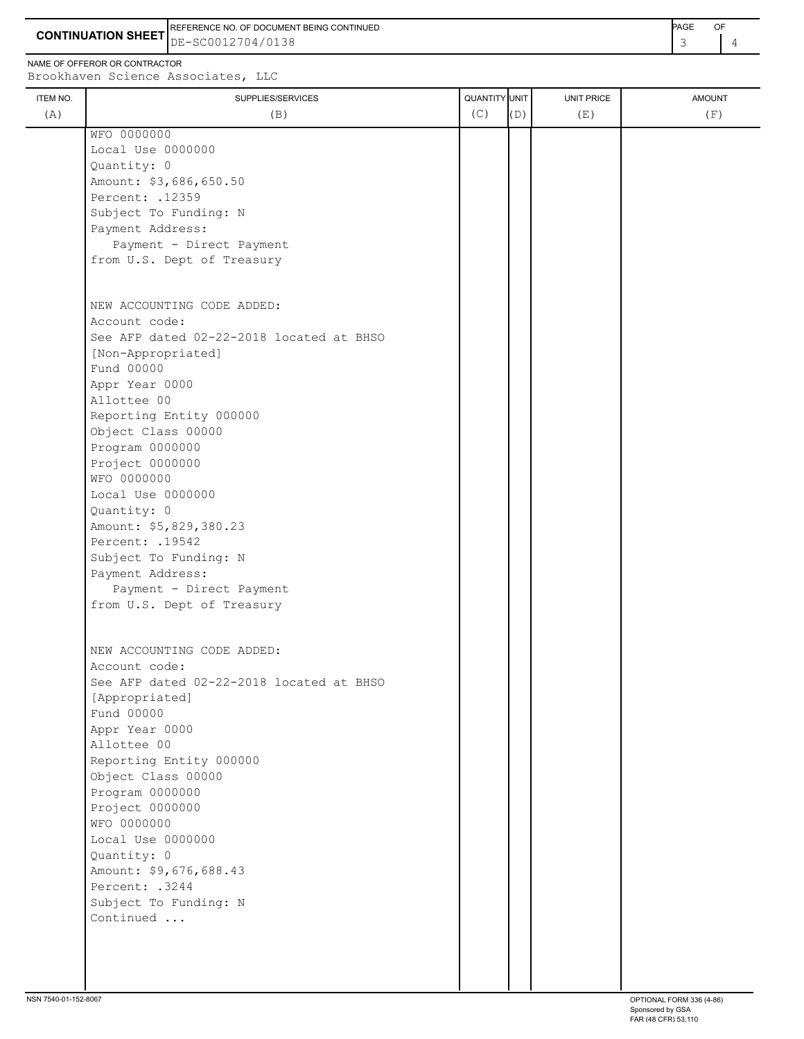**CONTINUATION SHEET** DE-SC0012704/0138 REFERENCE NO. OF DOCUMENT BEING CONTINUED **ACCULATES AND A CONTINUED PAGE OF PAGE** OF

NAME OF OFFEROR OR CONTRACTOR

Allottee 00

Quantity: 0

 Reporting Entity 000000 Object Class 00000 Program 0000000 Project 0000000 WFO 0000000

Local Use 0000000

 Amount: \$5,829,380.23 Percent: .19542

 Subject To Funding: N Payment Address:

Subject To Funding: N

Continued ...

Payment - Direct Payment

|          | Brookhaven Science Associates, LLC       |               |     |                   |               |
|----------|------------------------------------------|---------------|-----|-------------------|---------------|
| ITEM NO. | SUPPLIES/SERVICES                        | QUANTITY UNIT |     | <b>UNIT PRICE</b> | <b>AMOUNT</b> |
| (A)      | (B)                                      | (C)           | (D) | (E)               | (F)           |
|          | WFO 0000000                              |               |     |                   |               |
|          | Local Use 0000000                        |               |     |                   |               |
|          | Quantity: 0                              |               |     |                   |               |
|          | Amount: \$3,686,650.50                   |               |     |                   |               |
|          | Percent: . 12359                         |               |     |                   |               |
|          | Subject To Funding: N                    |               |     |                   |               |
|          | Payment Address:                         |               |     |                   |               |
|          | Payment - Direct Payment                 |               |     |                   |               |
|          | from U.S. Dept of Treasury               |               |     |                   |               |
|          |                                          |               |     |                   |               |
|          | NEW ACCOUNTING CODE ADDED:               |               |     |                   |               |
|          | Account code:                            |               |     |                   |               |
|          | See AFP dated 02-22-2018 located at BHSO |               |     |                   |               |
|          | [Non-Appropriated]                       |               |     |                   |               |
|          | Fund 00000                               |               |     |                   |               |
|          | Appr Year 0000                           |               |     |                   |               |

| from U.S. Dept of Treasury               |
|------------------------------------------|
|                                          |
| NEW ACCOUNTING CODE ADDED:               |
| Account code:                            |
| See AFP dated 02-22-2018 located at BHSO |
| [Appropriated]                           |
| Fund 00000                               |
| Appr Year 0000                           |
| Allottee 00                              |
| Reporting Entity 000000                  |
| Object Class 00000                       |
| Program 0000000                          |
| Project 0000000                          |
| WFO 0000000                              |
| Local Use 0000000                        |
| Quantity: 0                              |
| Amount: \$9,676,688.43                   |
| Percent: .3244                           |
|                                          |